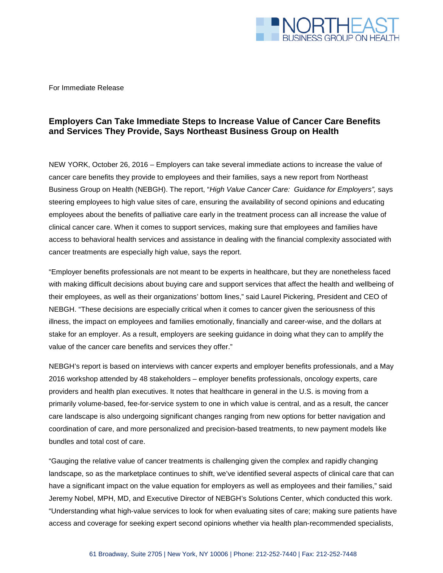

For Immediate Release

## **Employers Can Take Immediate Steps to Increase Value of Cancer Care Benefits and Services They Provide, Says Northeast Business Group on Health**

NEW YORK, October 26, 2016 – Employers can take several immediate actions to increase the value of cancer care benefits they provide to employees and their families, says a new report from Northeast Business Group on Health (NEBGH). The report, "*High Value Cancer Care: Guidance for Employers",* says steering employees to high value sites of care, ensuring the availability of second opinions and educating employees about the benefits of palliative care early in the treatment process can all increase the value of clinical cancer care. When it comes to support services, making sure that employees and families have access to behavioral health services and assistance in dealing with the financial complexity associated with cancer treatments are especially high value, says the report.

"Employer benefits professionals are not meant to be experts in healthcare, but they are nonetheless faced with making difficult decisions about buying care and support services that affect the health and wellbeing of their employees, as well as their organizations' bottom lines," said Laurel Pickering, President and CEO of NEBGH. "These decisions are especially critical when it comes to cancer given the seriousness of this illness, the impact on employees and families emotionally, financially and career-wise, and the dollars at stake for an employer. As a result, employers are seeking guidance in doing what they can to amplify the value of the cancer care benefits and services they offer."

NEBGH's report is based on interviews with cancer experts and employer benefits professionals, and a May 2016 workshop attended by 48 stakeholders – employer benefits professionals, oncology experts, care providers and health plan executives. It notes that healthcare in general in the U.S. is moving from a primarily volume-based, fee-for-service system to one in which value is central, and as a result, the cancer care landscape is also undergoing significant changes ranging from new options for better navigation and coordination of care, and more personalized and precision-based treatments, to new payment models like bundles and total cost of care.

"Gauging the relative value of cancer treatments is challenging given the complex and rapidly changing landscape, so as the marketplace continues to shift, we've identified several aspects of clinical care that can have a significant impact on the value equation for employers as well as employees and their families," said Jeremy Nobel, MPH, MD, and Executive Director of NEBGH's Solutions Center, which conducted this work. "Understanding what high-value services to look for when evaluating sites of care; making sure patients have access and coverage for seeking expert second opinions whether via health plan-recommended specialists,